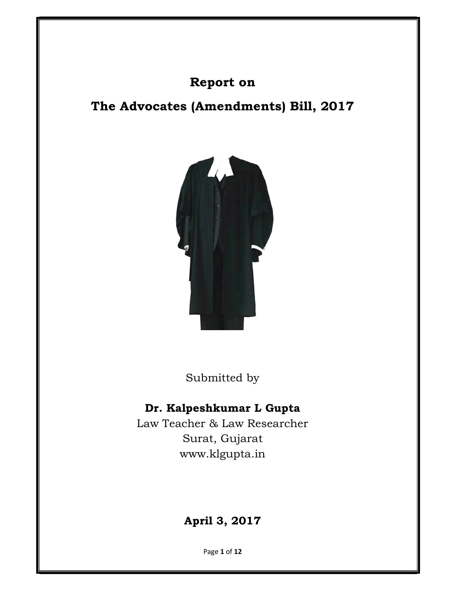# Report on

# The Advocates (Amendments) Bill, 2017



Submitted by

# Dr. Kalpeshkumar L Gupta

Law Teacher & Law Researcher Surat, Gujarat www.klgupta.in

# April 3, 2017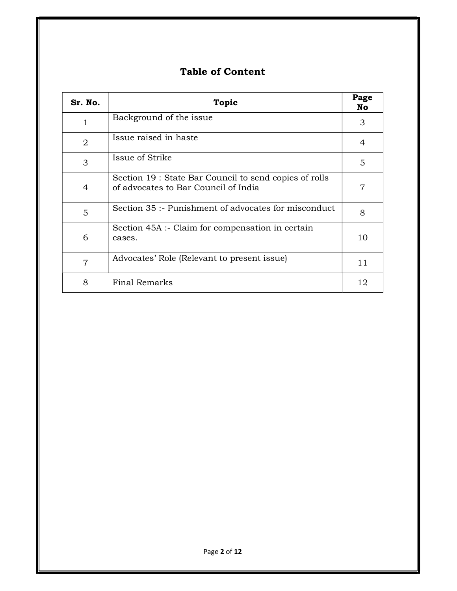# Table of Content

| Sr. No.        | <b>Topic</b>                                                                                   | Page<br>No |
|----------------|------------------------------------------------------------------------------------------------|------------|
| 1              | Background of the issue                                                                        | 3          |
| 2              | Issue raised in haste                                                                          | 4          |
| 3              | Issue of Strike                                                                                | 5          |
| 4              | Section 19 : State Bar Council to send copies of rolls<br>of advocates to Bar Council of India | 7          |
| 5              | Section 35 :- Punishment of advocates for misconduct                                           | 8          |
| 6              | Section 45A :- Claim for compensation in certain<br>cases.                                     | 10         |
| $\overline{7}$ | Advocates' Role (Relevant to present issue)                                                    | 11         |
| 8              | <b>Final Remarks</b>                                                                           | 12         |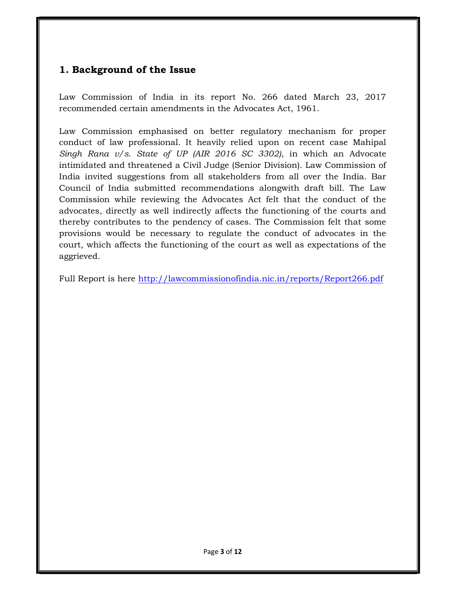## 1. Background of the Issue

Law Commission of India in its report No. 266 dated March 23, 2017 recommended certain amendments in the Advocates Act, 1961.

Law Commission emphasised on better regulatory mechanism for proper conduct of law professional. It heavily relied upon on recent case Mahipal Singh Rana  $v/s$ . State of UP (AIR 2016 SC 3302), in which an Advocate intimidated and threatened a Civil Judge (Senior Division). Law Commission of India invited suggestions from all stakeholders from all over the India. Bar Council of India submitted recommendations alongwith draft bill. The Law Commission while reviewing the Advocates Act felt that the conduct of the advocates, directly as well indirectly affects the functioning of the courts and thereby contributes to the pendency of cases. The Commission felt that some provisions would be necessary to regulate the conduct of advocates in the court, which affects the functioning of the court as well as expectations of the aggrieved.

Full Report is here http://lawcommissionofindia.nic.in/reports/Report266.pdf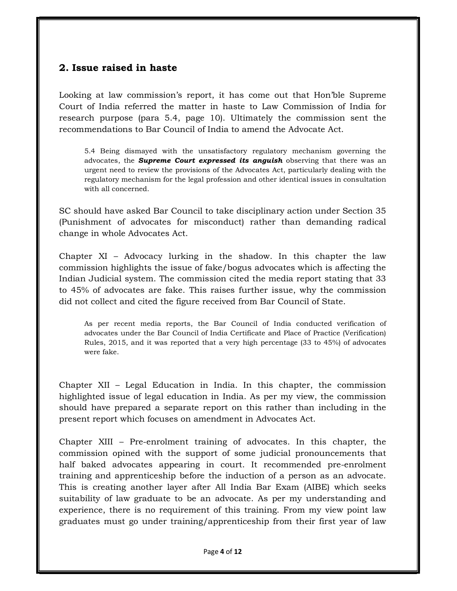### 2. Issue raised in haste

Looking at law commission's report, it has come out that Hon'ble Supreme Court of India referred the matter in haste to Law Commission of India for research purpose (para 5.4, page 10). Ultimately the commission sent the recommendations to Bar Council of India to amend the Advocate Act.

5.4 Being dismayed with the unsatisfactory regulatory mechanism governing the advocates, the **Supreme Court expressed its anguish** observing that there was an urgent need to review the provisions of the Advocates Act, particularly dealing with the regulatory mechanism for the legal profession and other identical issues in consultation with all concerned.

SC should have asked Bar Council to take disciplinary action under Section 35 (Punishment of advocates for misconduct) rather than demanding radical change in whole Advocates Act.

Chapter XI – Advocacy lurking in the shadow. In this chapter the law commission highlights the issue of fake/bogus advocates which is affecting the Indian Judicial system. The commission cited the media report stating that 33 to 45% of advocates are fake. This raises further issue, why the commission did not collect and cited the figure received from Bar Council of State.

As per recent media reports, the Bar Council of India conducted verification of advocates under the Bar Council of India Certificate and Place of Practice (Verification) Rules, 2015, and it was reported that a very high percentage (33 to 45%) of advocates were fake.

Chapter XII – Legal Education in India. In this chapter, the commission highlighted issue of legal education in India. As per my view, the commission should have prepared a separate report on this rather than including in the present report which focuses on amendment in Advocates Act.

Chapter XIII – Pre-enrolment training of advocates. In this chapter, the commission opined with the support of some judicial pronouncements that half baked advocates appearing in court. It recommended pre-enrolment training and apprenticeship before the induction of a person as an advocate. This is creating another layer after All India Bar Exam (AIBE) which seeks suitability of law graduate to be an advocate. As per my understanding and experience, there is no requirement of this training. From my view point law graduates must go under training/apprenticeship from their first year of law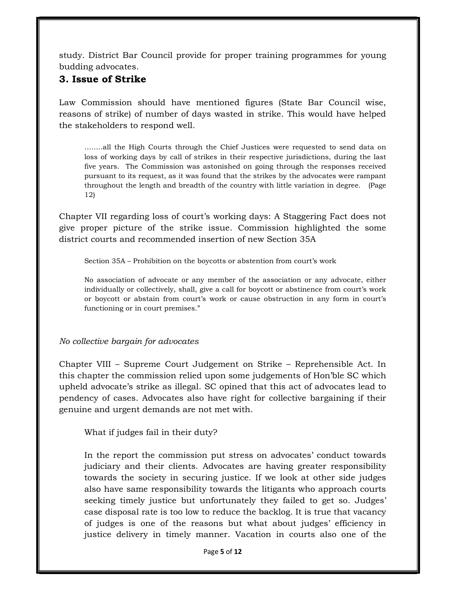study. District Bar Council provide for proper training programmes for young budding advocates.

### 3. Issue of Strike

Law Commission should have mentioned figures (State Bar Council wise, reasons of strike) of number of days wasted in strike. This would have helped the stakeholders to respond well.

……..all the High Courts through the Chief Justices were requested to send data on loss of working days by call of strikes in their respective jurisdictions, during the last five years. The Commission was astonished on going through the responses received pursuant to its request, as it was found that the strikes by the advocates were rampant throughout the length and breadth of the country with little variation in degree. (Page 12)

Chapter VII regarding loss of court's working days: A Staggering Fact does not give proper picture of the strike issue. Commission highlighted the some district courts and recommended insertion of new Section 35A

Section 35A – Prohibition on the boycotts or abstention from court's work

No association of advocate or any member of the association or any advocate, either individually or collectively, shall, give a call for boycott or abstinence from court's work or boycott or abstain from court's work or cause obstruction in any form in court's functioning or in court premises."

No collective bargain for advocates

Chapter VIII – Supreme Court Judgement on Strike – Reprehensible Act. In this chapter the commission relied upon some judgements of Hon'ble SC which upheld advocate's strike as illegal. SC opined that this act of advocates lead to pendency of cases. Advocates also have right for collective bargaining if their genuine and urgent demands are not met with.

What if judges fail in their duty?

In the report the commission put stress on advocates' conduct towards judiciary and their clients. Advocates are having greater responsibility towards the society in securing justice. If we look at other side judges also have same responsibility towards the litigants who approach courts seeking timely justice but unfortunately they failed to get so. Judges' case disposal rate is too low to reduce the backlog. It is true that vacancy of judges is one of the reasons but what about judges' efficiency in justice delivery in timely manner. Vacation in courts also one of the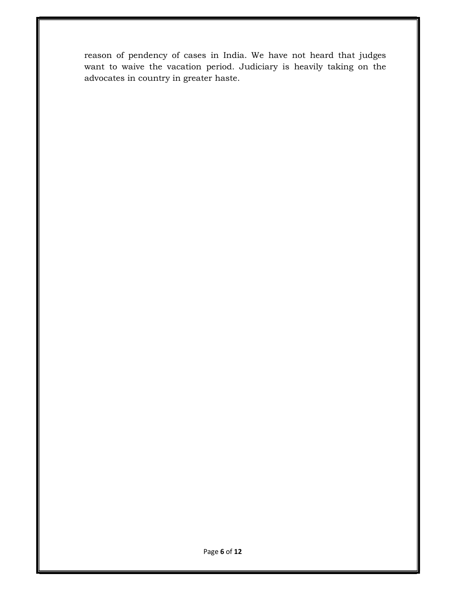reason of pendency of cases in India. We have not heard that judges want to waive the vacation period. Judiciary is heavily taking on the advocates in country in greater haste.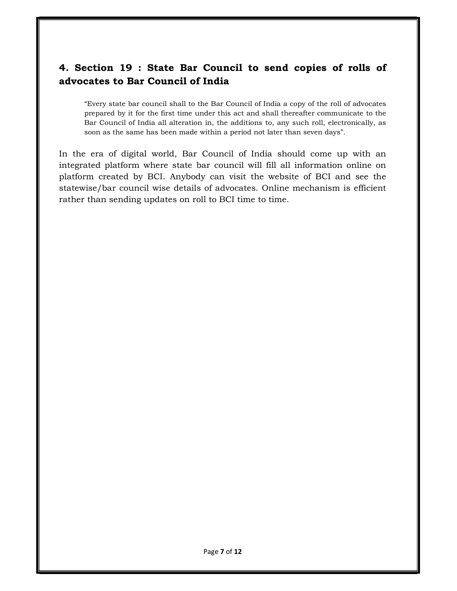## 4. Section 19 : State Bar Council to send copies of rolls of advocates to Bar Council of India

"Every state bar council shall to the Bar Council of India a copy of the roll of advocates prepared by it for the first time under this act and shall thereafter communicate to the Bar Council of India all alteration in, the additions to, any such roll, electronically, as soon as the same has been made within a period not later than seven days".

In the era of digital world, Bar Council of India should come up with an integrated platform where state bar council will fill all information online on platform created by BCI. Anybody can visit the website of BCI and see the statewise/bar council wise details of advocates. Online mechanism is efficient rather than sending updates on roll to BCI time to time.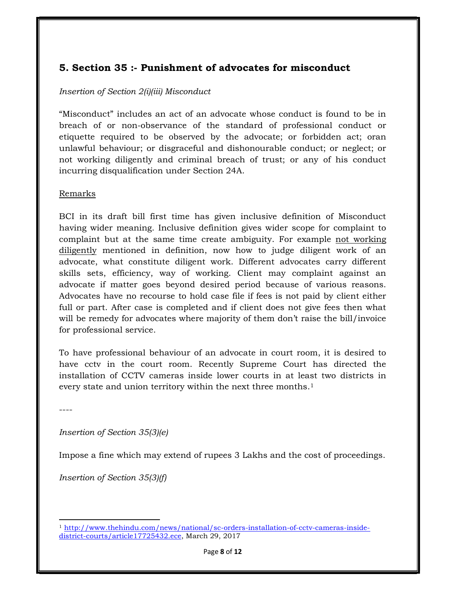## 5. Section 35 :- Punishment of advocates for misconduct

#### Insertion of Section 2(i)(iii) Misconduct

"Misconduct" includes an act of an advocate whose conduct is found to be in breach of or non-observance of the standard of professional conduct or etiquette required to be observed by the advocate; or forbidden act; oran unlawful behaviour; or disgraceful and dishonourable conduct; or neglect; or not working diligently and criminal breach of trust; or any of his conduct incurring disqualification under Section 24A.

#### Remarks

BCI in its draft bill first time has given inclusive definition of Misconduct having wider meaning. Inclusive definition gives wider scope for complaint to complaint but at the same time create ambiguity. For example not working diligently mentioned in definition, now how to judge diligent work of an advocate, what constitute diligent work. Different advocates carry different skills sets, efficiency, way of working. Client may complaint against an advocate if matter goes beyond desired period because of various reasons. Advocates have no recourse to hold case file if fees is not paid by client either full or part. After case is completed and if client does not give fees then what will be remedy for advocates where majority of them don't raise the bill/invoice for professional service.

To have professional behaviour of an advocate in court room, it is desired to have cctv in the court room. Recently Supreme Court has directed the installation of CCTV cameras inside lower courts in at least two districts in every state and union territory within the next three months.<sup>1</sup>

----

Insertion of Section 35(3)(e)

Impose a fine which may extend of rupees 3 Lakhs and the cost of proceedings.

Insertion of Section 35(3)(f)

 $\overline{a}$ <sup>1</sup> http://www.thehindu.com/news/national/sc-orders-installation-of-cctv-cameras-insidedistrict-courts/article17725432.ece, March 29, 2017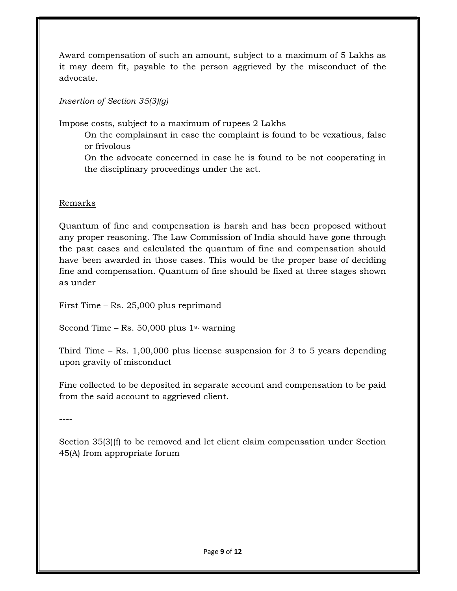Award compensation of such an amount, subject to a maximum of 5 Lakhs as it may deem fit, payable to the person aggrieved by the misconduct of the advocate.

### Insertion of Section 35(3)(g)

Impose costs, subject to a maximum of rupees 2 Lakhs

On the complainant in case the complaint is found to be vexatious, false or frivolous

On the advocate concerned in case he is found to be not cooperating in the disciplinary proceedings under the act.

### Remarks

Quantum of fine and compensation is harsh and has been proposed without any proper reasoning. The Law Commission of India should have gone through the past cases and calculated the quantum of fine and compensation should have been awarded in those cases. This would be the proper base of deciding fine and compensation. Quantum of fine should be fixed at three stages shown as under

First Time – Rs. 25,000 plus reprimand

Second Time – Rs. 50,000 plus  $1<sup>st</sup>$  warning

Third Time – Rs. 1,00,000 plus license suspension for 3 to 5 years depending upon gravity of misconduct

Fine collected to be deposited in separate account and compensation to be paid from the said account to aggrieved client.

----

Section 35(3)(f) to be removed and let client claim compensation under Section 45(A) from appropriate forum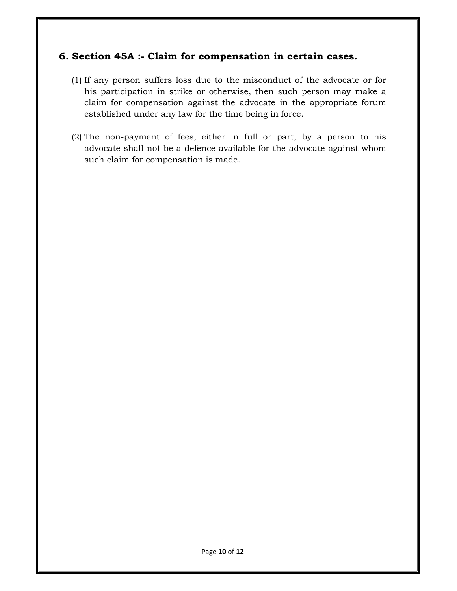### 6. Section 45A :- Claim for compensation in certain cases.

- (1) If any person suffers loss due to the misconduct of the advocate or for his participation in strike or otherwise, then such person may make a claim for compensation against the advocate in the appropriate forum established under any law for the time being in force.
- (2) The non-payment of fees, either in full or part, by a person to his advocate shall not be a defence available for the advocate against whom such claim for compensation is made.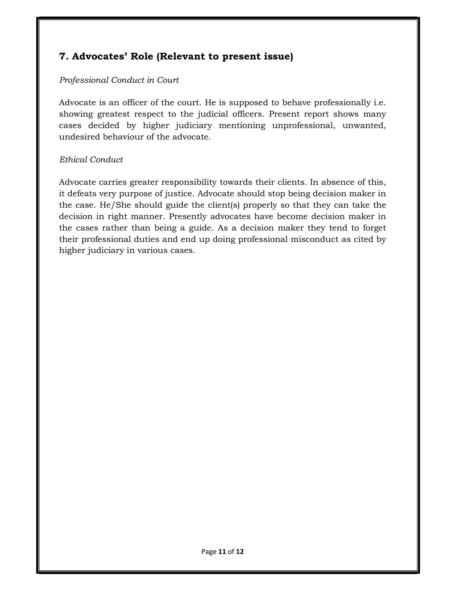## 7. Advocates' Role (Relevant to present issue)

#### Professional Conduct in Court

Advocate is an officer of the court. He is supposed to behave professionally i.e. showing greatest respect to the judicial officers. Present report shows many cases decided by higher judiciary mentioning unprofessional, unwanted, undesired behaviour of the advocate.

#### Ethical Conduct

Advocate carries greater responsibility towards their clients. In absence of this, it defeats very purpose of justice. Advocate should stop being decision maker in the case. He/She should guide the client(s) properly so that they can take the decision in right manner. Presently advocates have become decision maker in the cases rather than being a guide. As a decision maker they tend to forget their professional duties and end up doing professional misconduct as cited by higher judiciary in various cases.